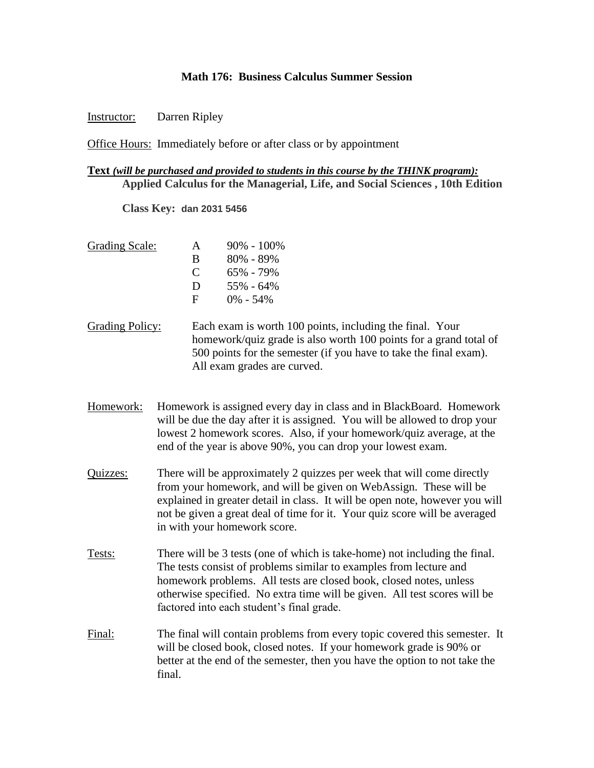## **Math 176: Business Calculus Summer Session**

## Instructor: Darren Ripley

Office Hours: Immediately before or after class or by appointment

## **Text** *(will be purchased and provided to students in this course by the THINK program):* **Applied Calculus for the Managerial, Life, and Social Sciences , 10th Edition**

**Class Key: dan 2031 5456**

- Grading Scale: A 90% 100% B 80% - 89% C  $65\% - 79\%$  $D = 55\% - 64\%$  $F = 0\% - 54\%$
- Grading Policy: Each exam is worth 100 points, including the final. Your homework/quiz grade is also worth 100 points for a grand total of 500 points for the semester (if you have to take the final exam). All exam grades are curved.
- Homework: Homework is assigned every day in class and in BlackBoard. Homework will be due the day after it is assigned. You will be allowed to drop your lowest 2 homework scores. Also, if your homework/quiz average, at the end of the year is above 90%, you can drop your lowest exam.
- Quizzes: There will be approximately 2 quizzes per week that will come directly from your homework, and will be given on WebAssign. These will be explained in greater detail in class. It will be open note, however you will not be given a great deal of time for it. Your quiz score will be averaged in with your homework score.
- Tests: There will be 3 tests (one of which is take-home) not including the final. The tests consist of problems similar to examples from lecture and homework problems. All tests are closed book, closed notes, unless otherwise specified. No extra time will be given. All test scores will be factored into each student's final grade.
- Final: The final will contain problems from every topic covered this semester. It will be closed book, closed notes. If your homework grade is 90% or better at the end of the semester, then you have the option to not take the final.